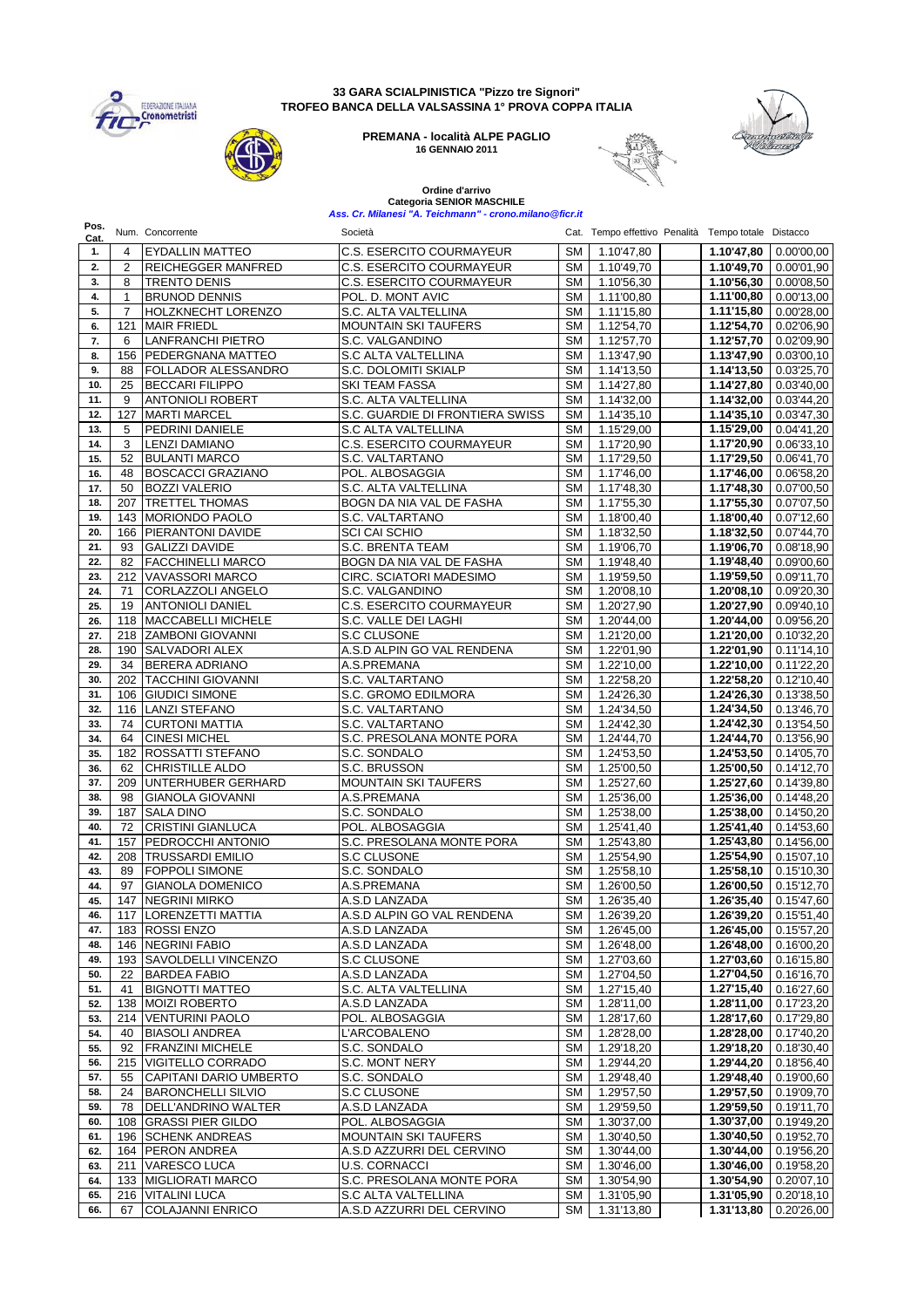

#### **33 GARA SCIALPINISTICA "Pizzo tre Signori" TROFEO BANCA DELLA VALSASSINA 1° PROVA COPPA ITALIA**

**PREMANA - località ALPE PAGLIO 16 GENNAIO 2011**



給

↘

# **Ordine d'arrivo Categoria SENIOR MASCHILE** *Ass. Cr. Milanesi "A. Teichmann" - crono.milano@ficr.it*

| Pos.<br>Cat. |                | Num. Concorrente                           | Società                                |                 | Cat. Tempo effettivo Penalità Tempo totale Distacco |                                       |                          |
|--------------|----------------|--------------------------------------------|----------------------------------------|-----------------|-----------------------------------------------------|---------------------------------------|--------------------------|
| 1.           | 4              | <b>EYDALLIN MATTEO</b>                     | <b>C.S. ESERCITO COURMAYEUR</b>        | <b>SM</b>       | 1.10'47,80                                          | 1.10'47,80                            | 0.00'00,00               |
| 2.           | 2              | <b>REICHEGGER MANFRED</b>                  | C.S. ESERCITO COURMAYEUR               | SM              | 1.10'49,70                                          | 1.10'49,70                            | 0.00'01,90               |
| 3.           | 8              | <b>TRENTO DENIS</b>                        | C.S. ESERCITO COURMAYEUR               | SM              | 1.10'56,30                                          | 1.10'56,30                            | 0.00'08,50               |
| 4.           | 1              | <b>BRUNOD DENNIS</b>                       | POL. D. MONT AVIC                      | <b>SM</b>       | 1.11'00,80                                          | 1.11'00,80                            | 0.00'13,00               |
| 5.           | $\overline{7}$ | HOLZKNECHT LORENZO                         | S.C. ALTA VALTELLINA                   | SM              | 1.11'15,80                                          | 1.11'15,80                            | 0.00'28,00               |
| 6.           | 121            | <b>MAIR FRIEDL</b>                         | <b>MOUNTAIN SKI TAUFERS</b>            | SM              | 1.12'54,70                                          | 1.12'54,70                            | 0.02'06,90               |
| 7.           | 6              | <b>LANFRANCHI PIETRO</b>                   | S.C. VALGANDINO                        | SM              | 1.12'57,70                                          | 1.12'57,70                            | 0.02'09,90               |
| 8.           | 156            | <b>PEDERGNANA MATTEO</b>                   | S.C ALTA VALTELLINA                    | SM              | 1.13'47,90                                          | 1.13'47,90                            | 0.03'00,10               |
| 9.           | 88             | FOLLADOR ALESSANDRO                        | S.C. DOLOMITI SKIALP                   | SM              | 1.14'13,50                                          | 1.14'13,50                            | 0.03'25,70               |
| 10.          | 25             | <b>BECCARI FILIPPO</b>                     | <b>SKI TEAM FASSA</b>                  | <b>SM</b>       | 1.14'27,80                                          | 1.14'27,80                            | 0.03'40,00               |
| 11.          | 9              | <b>ANTONIOLI ROBERT</b>                    | S.C. ALTA VALTELLINA                   | <b>SM</b>       | 1.14'32,00                                          | 1.14'32,00                            | 0.03'44,20               |
| 12.          | 127            | <b>MARTI MARCEL</b>                        | S.C. GUARDIE DI FRONTIERA SWISS        | <b>SM</b>       | 1.14'35,10                                          | 1.14'35,10                            | 0.03'47,30               |
| 13.          | 5              | PEDRINI DANIELE                            | S.C ALTA VALTELLINA                    | SM              | 1.15'29,00                                          | 1.15'29,00                            | 0.04'41,20               |
| 14.          | 3              | <b>LENZI DAMIANO</b>                       | C.S. ESERCITO COURMAYEUR               | <b>SM</b>       | 1.17'20,90                                          | 1.17'20,90                            | 0.06'33,10               |
| 15.          | 52             | <b>BULANTI MARCO</b>                       | S.C. VALTARTANO                        | SM              | $\overline{1.1729,50}$                              | 1.17'29.50                            | 0.06'41,70               |
| 16.          | 48             | <b>BOSCACCI GRAZIANO</b>                   | POL. ALBOSAGGIA                        | <b>SM</b>       | 1.17'46,00                                          | 1.17'46,00                            | 0.06'58,20               |
| 17.          | 50             | <b>BOZZI VALERIO</b>                       | S.C. ALTA VALTELLINA                   | <b>SM</b>       | 1.17'48,30                                          | 1.17'48,30                            | 0.07'00,50               |
| 18.          | 207            | <b>TRETTEL THOMAS</b>                      | BOGN DA NIA VAL DE FASHA               | <b>SM</b>       | 1.17'55,30                                          | 1.17'55,30                            | 0.07'07,50               |
| 19.          |                | 143 MORIONDO PAOLO                         | S.C. VALTARTANO                        | <b>SM</b>       | 1.18'00,40                                          | 1.18'00,40                            | 0.07'12,60               |
| 20.          | 166            | <b>PIERANTONI DAVIDE</b>                   | <b>SCI CAI SCHIO</b>                   | <b>SM</b>       | 1.18'32,50                                          | 1.18'32,50                            | 0.07'44,70               |
| 21.          | 93             | <b>GALIZZI DAVIDE</b>                      | <b>S.C. BRENTA TEAM</b>                | SM              | 1.19'06,70                                          | 1.19'06,70                            | 0.08'18,90               |
| 22.          | 82             | <b>FACCHINELLI MARCO</b>                   | BOGN DA NIA VAL DE FASHA               | <b>SM</b>       | 1.19'48,40                                          | 1.19'48,40                            | 0.09'00,60               |
| 23.          |                | 212 VAVASSORI MARCO                        | CIRC. SCIATORI MADESIMO                | <b>SM</b>       | 1.19'59,50                                          | 1.19'59,50                            | 0.09'11,70               |
| 24.          | 71             | CORLAZZOLI ANGELO                          | S.C. VALGANDINO                        | <b>SM</b>       | 1.20'08,10                                          | 1.20'08,10                            | 0.09'20,30               |
| 25.          | 19             | <b>ANTONIOLI DANIEL</b>                    | <b>C.S. ESERCITO COURMAYEUR</b>        | <b>SM</b>       | 1.20'27,90                                          | 1.20'27,90                            | 0.09'40.10               |
| 26.          |                | 118 MACCABELLI MICHELE                     | S.C. VALLE DEI LAGHI                   | <b>SM</b>       | 1.20'44,00                                          | 1.20'44,00                            | 0.09'56,20               |
| 27.          |                | 218 ZAMBONI GIOVANNI                       | <b>S.C CLUSONE</b>                     | <b>SM</b>       | 1.21'20,00                                          | 1.21'20,00                            | 0.10'32,20               |
| 28.          | 190            | <b>SALVADORI ALEX</b>                      | A.S.D ALPIN GO VAL RENDENA             | SM              | 1.22'01,90                                          | 1.22'01,90<br>1.22'10,00              | 0.11'14,10               |
| 29.          | 34             | <b>BERERA ADRIANO</b>                      | A.S.PREMANA                            | <b>SM</b>       | 1.22'10,00                                          |                                       | 0.11'22,20               |
| 30.          | 202            | <b>TACCHINI GIOVANNI</b>                   | S.C. VALTARTANO                        | SM              | 1.22'58,20                                          | 1.22'58,20                            | 0.12'10,40               |
| 31.<br>32.   | 106            | <b>GIUDICI SIMONE</b><br>116 LANZI STEFANO | S.C. GROMO EDILMORA<br>S.C. VALTARTANO | SM<br><b>SM</b> | 1.24'26,30<br>1.24'34,50                            | 1.24'26,30<br>$\overline{1.24'}34,50$ | 0.13'38,50               |
| 33.          | 74             | <b>CURTONI MATTIA</b>                      | S.C. VALTARTANO                        | <b>SM</b>       | 1.24'42,30                                          | 1.24'42,30                            | 0.13'46,70<br>0.13'54,50 |
| 34.          | 64             | <b>CINESI MICHEL</b>                       | S.C. PRESOLANA MONTE PORA              | SM              | 1.24'44,70                                          | 1.24'44,70                            | 0.13'56,90               |
| 35.          | 182            | <b>ROSSATTI STEFANO</b>                    | S.C. SONDALO                           | SM              | 1.24'53,50                                          | 1.24'53,50                            | 0.14'05,70               |
| 36.          | 62             | CHRISTILLE ALDO                            | S.C. BRUSSON                           | SM              | 1.25'00,50                                          | 1.25'00,50                            | 0.14'12,70               |
| 37.          | 209            | UNTERHUBER GERHARD                         | <b>MOUNTAIN SKI TAUFERS</b>            | SM              | 1.25'27,60                                          | 1.25'27,60                            | 0.14'39,80               |
| 38.          | 98             | <b>GIANOLA GIOVANNI</b>                    | A.S.PREMANA                            | SM              | 1.25'36,00                                          | 1.25'36,00                            | 0.14'48,20               |
| 39.          | 187            | <b>SALA DINO</b>                           | S.C. SONDALO                           | SM              | 1.25'38,00                                          | 1.25'38,00                            | 0.14'50,20               |
| 40.          | 72             | <b>CRISTINI GIANLUCA</b>                   | POL. ALBOSAGGIA                        | SM              | 1.25'41,40                                          | 1.25'41,40                            | 0.14'53,60               |
| 41.          | 157            | PEDROCCHI ANTONIO                          | S.C. PRESOLANA MONTE PORA              | <b>SM</b>       | 1.25'43,80                                          | 1.25'43,80                            | 0.14'56,00               |
| 42.          |                | 208   TRUSSARDI EMILIO                     | <b>S.C CLUSONE</b>                     | <b>SM</b>       | 1.25'54,90                                          | 1.25'54,90                            | 0.15'07,10               |
| 43.          | 89             | <b>FOPPOLI SIMONE</b>                      | S.C. SONDALO                           | SM              | 1.25'58,10                                          | 1.25'58,10                            | 0.15'10,30               |
| 44.          | 97             | <b>GIANOLA DOMENICO</b>                    | A.S.PREMANA                            | <b>SM</b>       | 1.26'00,50                                          | 1.26'00.50                            | 0.15'12,70               |
| 45.          |                | 147   NEGRINI MIRKO                        | A.S.D LANZADA                          | SM              | 1.26'35,40                                          |                                       | $1.26'35,40$ 0.15'47,60  |
| 46.          |                | 117 LORENZETTI MATTIA                      | A.S.D ALPIN GO VAL RENDENA             |                 | SM 1.26'39,20                                       |                                       | 1.26'39,20 0.15'51,40    |
| 47.          |                | 183 ROSSI ENZO                             | A.S.D LANZADA                          |                 | SM 1.26'45,00                                       |                                       | $1.26'45,00$ 0.15'57,20  |
| 48.          |                | 146 NEGRINI FABIO                          | A.S.D LANZADA                          | SM              | 1.26'48,00                                          | 1.26'48,00                            | 0.16'00,20               |
| 49.          |                | 193   SAVOLDELLI VINCENZO                  | S.C CLUSONE                            | SM I            | 1.27'03,60                                          | $\overline{1.27'03,60}$               | 0.16'15,80               |
| 50.          | 22             | <b>BARDEA FABIO</b>                        | A.S.D LANZADA                          | SM              | 1.27'04,50                                          | 1.27'04,50                            | 0.16'16,70               |
| 51.          | 41             | <b>BIGNOTTI MATTEO</b>                     | S.C. ALTA VALTELLINA                   | SM I            | 1.27'15,40                                          | 1.27'15,40                            | 0.16'27,60               |
| 52.          |                | 138 MOIZI ROBERTO                          | A.S.D LANZADA                          | SM              | 1.28'11,00                                          | 1.28'11,00                            | 0.17'23,20               |
| 53.          |                | 214 VENTURINI PAOLO                        | POL. ALBOSAGGIA                        | SM              | 1.28'17,60                                          | 1.28'17,60                            | 0.17'29,80               |
| 54.          | 40             | <b>BIASOLI ANDREA</b>                      | L'ARCOBALENO                           | SM              | 1.28'28,00                                          | 1.28'28,00                            | 0.17'40,20               |
| 55.          | 92             | <b>FRANZINI MICHELE</b>                    | S.C. SONDALO                           | SM              | 1.29'18,20                                          | 1.29'18,20                            | 0.18'30,40               |
| 56.          |                | 215 VIGITELLO CORRADO                      | S.C. MONT NERY                         | SM I            | 1.29'44,20                                          | 1.29'44,20                            | 0.18'56,40               |
| 57.          | 55             | CAPITANI DARIO UMBERTO                     | S.C. SONDALO                           | SM              | 1.29'48,40                                          | 1.29'48,40                            | 0.19'00,60               |
| 58.          | 24             | <b>BARONCHELLI SILVIO</b>                  | S.C CLUSONE                            | SM              | 1.29'57,50                                          | 1.29'57,50                            | 0.19'09,70               |
| 59.          | 78             | DELL'ANDRINO WALTER                        | A.S.D LANZADA                          | SM I            | 1.29'59,50                                          | 1.29'59,50                            | 0.19'11,70               |
| 60.          |                | 108 GRASSI PIER GILDO                      | POL. ALBOSAGGIA                        | SM              | 1.30'37,00                                          | 1.30'37,00                            | 0.19'49,20               |
| 61.          |                | 196 SCHENK ANDREAS                         | <b>MOUNTAIN SKI TAUFERS</b>            | SM I            | 1.30'40,50                                          | 1.30'40,50                            | 0.19'52,70               |
| 62.          |                | 164 PERON ANDREA                           | A.S.D AZZURRI DEL CERVINO              | SM              | 1.30'44,00                                          | 1.30'44,00                            | 0.19'56,20               |
| 63.          |                | 211 VARESCO LUCA                           | <b>U.S. CORNACCI</b>                   |                 | SM   1.30'46,00                                     | 1.30'46,00                            | 0.19'58,20               |
| 64.          |                | 133 MIGLIORATI MARCO                       | S.C. PRESOLANA MONTE PORA              |                 | SM   1.30'54,90                                     | 1.30'54,90                            | 0.20'07,10               |
| 65.          |                | 216 VITALINI LUCA                          | S.C ALTA VALTELLINA                    |                 | SM 1.31'05,90                                       | 1.31'05,90                            | 0.20'18,10               |
| 66.          | 67             | <b>COLAJANNI ENRICO</b>                    | A.S.D AZZURRI DEL CERVINO              |                 | SM 1.31'13,80                                       | 1.31'13,80                            | 0.20'26,00               |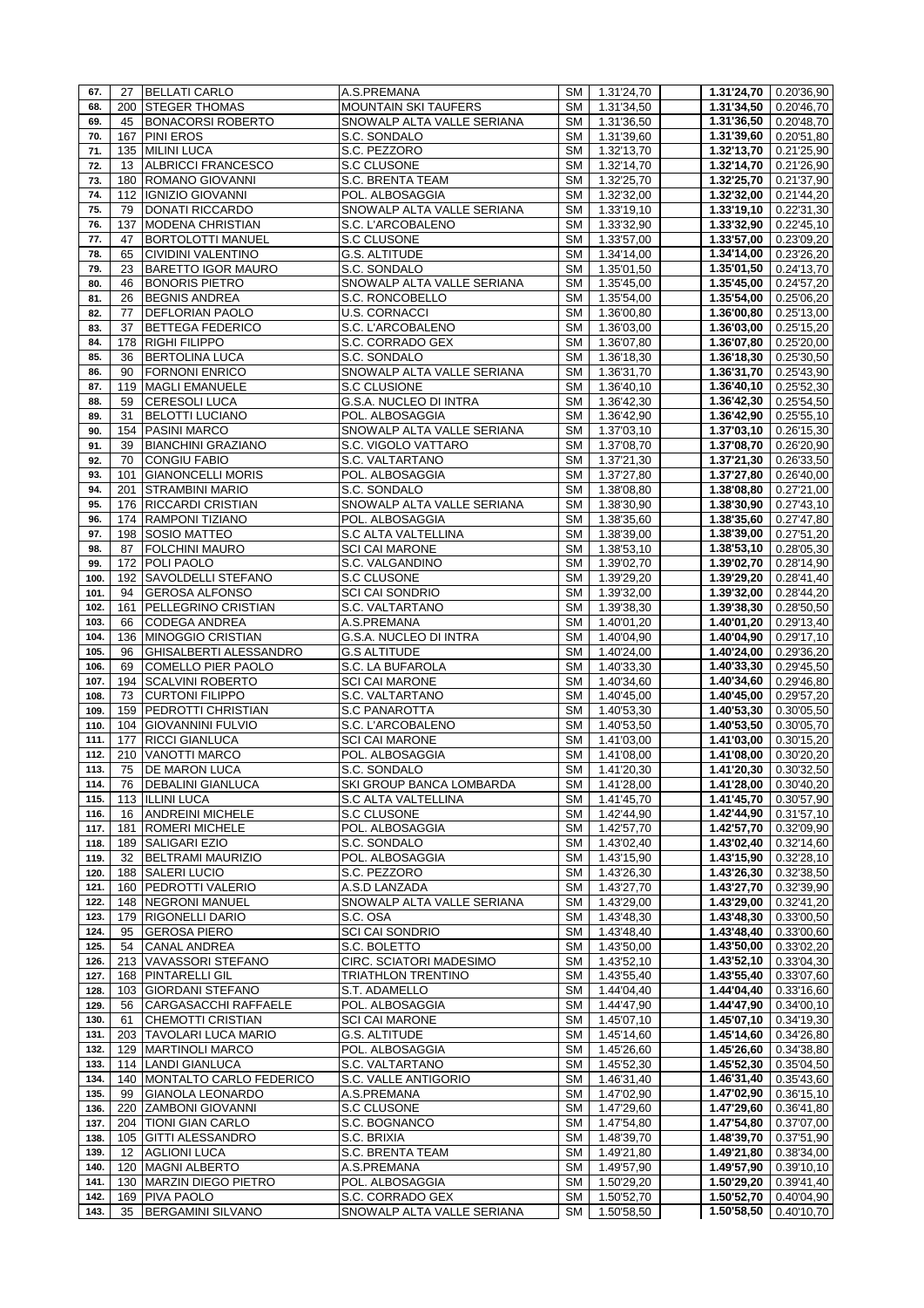| 67.  | 27                | <b>BELLATI CARLO</b>      | A.S.PREMANA                 |           | SM   1.31'24,70          |                          | $1.31'24,70$ 0.20'36,90 |
|------|-------------------|---------------------------|-----------------------------|-----------|--------------------------|--------------------------|-------------------------|
| 68.  |                   | 200 STEGER THOMAS         | <b>MOUNTAIN SKI TAUFERS</b> | SM I      | 1.31'34,50               | 1.31'34,50               | 0.20'46,70              |
| 69.  | 45                | <b>BONACORSI ROBERTO</b>  | SNOWALP ALTA VALLE SERIANA  | SM        | 1.31'36,50               |                          | $1.31'36,50$ 0.20'48,70 |
| 70.  |                   | 167 PINI EROS             | S.C. SONDALO                | SM        | 1.31'39,60               | $\overline{1.31}$ '39,60 | 0.20'51,80              |
| 71.  | 135               | <b>MILINI LUCA</b>        | S.C. PEZZORO                | SM        | 1.32'13,70               | 1.32'13,70               | 0.21'25,90              |
| 72.  | 13                | ALBRICCI FRANCESCO        | S.C CLUSONE                 | SM        | 1.32'14,70               | 1.32'14,70               | 0.21'26,90              |
| 73.  | 180               | ROMANO GIOVANNI           | S.C. BRENTA TEAM            | SM        | 1.32'25,70               | 1.32'25,70               | 0.21'37,90              |
| 74.  | 112               | <b>IGNIZIO GIOVANNI</b>   | POL. ALBOSAGGIA             | SM        | 1.32'32,00               | 1.32'32,00               | 0.21'44,20              |
| 75.  | 79                | DONATI RICCARDO           | SNOWALP ALTA VALLE SERIANA  | SM        | 1.33'19,10               | 1.33'19,10               | 0.22'31,30              |
| 76.  | 137               | <b>MODENA CHRISTIAN</b>   | S.C. L'ARCOBALENO           | SM        | 1.33'32,90               | 1.33'32,90               | 0.22'45,10              |
| 77.  | 47                | <b>BORTOLOTTI MANUEL</b>  | S.C CLUSONE                 | SM        | 1.33'57,00               | 1.33'57,00               | 0.23'09,20              |
| 78.  | 65                | CIVIDINI VALENTINO        | <b>G.S. ALTITUDE</b>        | SM        | 1.34'14,00               | 1.34'14,00               | 0.23'26,20              |
| 79.  | 23                | BARETTO IGOR MAURO        | S.C. SONDALO                | SM        | 1.35'01,50               | 1.35'01,50               | 0.24'13,70              |
| 80.  | 46                | <b>BONORIS PIETRO</b>     | SNOWALP ALTA VALLE SERIANA  | SM        | 1.35'45,00               | 1.35'45,00               | 0.24'57,20              |
| 81.  | 26                | <b>BEGNIS ANDREA</b>      | S.C. RONCOBELLO             | SM        | 1.35'54,00               | 1.35'54,00               | 0.25'06,20              |
| 82.  | 77                | <b>DEFLORIAN PAOLO</b>    | <b>U.S. CORNACCI</b>        | SM        | 1.36'00,80               | 1.36'00,80               | 0.25'13,00              |
| 83.  | 37                | <b>BETTEGA FEDERICO</b>   | S.C. L'ARCOBALENO           | SM        | 1.36'03,00               | 1.36'03,00               | 0.25'15,20              |
| 84.  | 178               | <b>RIGHI FILIPPO</b>      | S.C. CORRADO GEX            | SM        | 1.36'07,80               | 1.36'07,80               | 0.25'20,00              |
| 85.  | 36                | <b>BERTOLINA LUCA</b>     | S.C. SONDALO                | SM        | 1.36'18,30               | 1.36'18,30               | 0.25'30,50              |
| 86.  | 90                | <b>FORNONI ENRICO</b>     | SNOWALP ALTA VALLE SERIANA  | SM        | 1.36'31,70               | 1.36'31,70               | 0.25'43,90              |
| 87.  | 119               | <b>MAGLI EMANUELE</b>     | S.C CLUSIONE                | SM        | $\overline{1.36}$ '40,10 | $\overline{1.36'40,10}$  | 0.25'52,30              |
| 88.  | 59                | <b>CERESOLI LUCA</b>      | G.S.A. NUCLEO DI INTRA      | SM        | 1.36'42,30               | 1.36'42,30               | 0.25'54,50              |
| 89.  | 31                | <b>BELOTTI LUCIANO</b>    | POL. ALBOSAGGIA             | SM        | 1.36'42,90               | 1.36'42,90               | 0.25'55,10              |
| 90.  | 154               | <b>PASINI MARCO</b>       | SNOWALP ALTA VALLE SERIANA  | SM        | 1.37'03, 10              | 1.37'03,10               | 0.26'15,30              |
| 91.  | 39                | <b>BIANCHINI GRAZIANO</b> | S.C. VIGOLO VATTARO         | SM        | 1.37'08,70               | 1.37'08,70               | 0.26'20,90              |
| 92.  | 70                | <b>CONGIU FABIO</b>       | S.C. VALTARTANO             | SM        | 1.37'21,30               | 1.37'21,30               | 0.26'33,50              |
| 93.  | 101               | <b>GIANONCELLI MORIS</b>  | POL. ALBOSAGGIA             | SM        | 1.37'27,80               | 1.37'27,80               | 0.26'40,00              |
| 94.  | 201               | <b>STRAMBINI MARIO</b>    | S.C. SONDALO                | SM I      | 1.38'08,80               | 1.38'08,80               | 0.27'21,00              |
| 95.  | 176               | <b>RICCARDI CRISTIAN</b>  | SNOWALP ALTA VALLE SERIANA  | SM        | 1.38'30,90               | 1.38'30,90               | 0.27'43,10              |
| 96.  |                   | 174 RAMPONI TIZIANO       | POL. ALBOSAGGIA             | SM        | 1.38'35,60               | 1.38'35,60               | 0.27'47,80              |
| 97.  | 198               | <b>SOSIO MATTEO</b>       | S.C ALTA VALTELLINA         | SM        | 1.38'39,00               | 1.38'39,00               | 0.27'51,20              |
| 98.  | 87                | <b>FOLCHINI MAURO</b>     | <b>SCI CAI MARONE</b>       | SM        | 1.38'53,10               | 1.38'53,10               | 0.28'05,30              |
| 99.  | 172               | POLI PAOLO                | S.C. VALGANDINO             | SM I      | 1.39'02,70               | 1.39'02,70               | 0.28'14,90              |
| 100. | 192               | <b>SAVOLDELLI STEFANO</b> | S.C CLUSONE                 | SM        | 1.39'29,20               | 1.39'29,20               | 0.28'41,40              |
| 101. | 94                | <b>GEROSA ALFONSO</b>     | <b>SCI CAI SONDRIO</b>      | SM        | 1.39'32,00               | 1.39'32,00               | 0.28'44,20              |
| 102. | 161               | PELLEGRINO CRISTIAN       | S.C. VALTARTANO             | SM        | 1.39'38,30               | 1.39'38,30               | 0.28'50,50              |
| 103. | 66                | CODEGA ANDREA             | A.S.PREMANA                 | SM        | 1.40'01,20               | 1.40'01,20               | 0.29'13,40              |
| 104. | 136               | <b>MINOGGIO CRISTIAN</b>  | G.S.A. NUCLEO DI INTRA      | SM        | 1.40'04,90               | 1.40'04,90               | 0.29'17,10              |
| 105. | 96                | GHISALBERTI ALESSANDRO    | <b>G.S ALTITUDE</b>         | SM        | 1.40'24,00               | 1.40'24,00               | 0.29'36,20              |
| 106. | 69                | COMELLO PIER PAOLO        | S.C. LA BUFAROLA            | SM        | 1.40'33,30               | 1.40'33,30               | 0.29'45,50              |
| 107. |                   | 194 SCALVINI ROBERTO      | <b>SCI CAI MARONE</b>       | SM        | 1.40'34,60               | 1.40'34,60               | 0.29'46,80              |
| 108. | 73                | <b>CURTONI FILIPPO</b>    | S.C. VALTARTANO             | SM        | 1.40'45,00               | 1.40'45,00               | 0.29'57,20              |
| 109. | 159               | <b>PEDROTTI CHRISTIAN</b> | <b>S.C PANAROTTA</b>        | SM        | 1.40'53,30               | 1.40'53,30               | 0.30'05,50              |
| 110. | 104               | <b>GIOVANNINI FULVIO</b>  | S.C. L'ARCOBALENO           | SM        | 1.40'53,50               | 1.40'53,50               | 0.30'05,70              |
| 111. | 177               | <b>RICCI GIANLUCA</b>     | <b>SCI CAI MARONE</b>       | SM        | 1.41'03,00               | $\overline{1.41}$ '03,00 | 0.30'15,20              |
| 112. | 210               | VANOTTI MARCO             | POL. ALBOSAGGIA             | SM        | 1.41'08,00               | 1.41'08,00               | 0.30'20,20              |
| 113. | 75                | <b>DE MARON LUCA</b>      | S.C. SONDALO                | SM        | 1.41'20,30               | 1.41'20,30               | 0.30'32,50              |
| 114. | 76                | <b>DEBALINI GIANLUCA</b>  | SKI GROUP BANCA LOMBARDA    | SM I      | 1.41'28,00               | 1.41'28,00               | 0.30'40,20              |
| 115. |                   | 113   ILLINI LUCA         | S.C ALTA VALTELLINA         | SM        | 1.41'45,70               | $\overline{1.41}$ '45,70 | 0.30'57,90              |
| 116. | 16                | <b>ANDREINI MICHELE</b>   | <b>S.C CLUSONE</b>          | SM        | 1.42'44,90               | 1.42'44,90               | 0.31'57,10              |
| 117. | 181               | <b>ROMERI MICHELE</b>     | POL. ALBOSAGGIA             | SM        | 1.42'57,70               | 1.42'57,70               | 0.32'09,90              |
| 118. |                   | 189 SALIGARI EZIO         | S.C. SONDALO                | SM        | 1.43'02,40               | 1.43'02,40               | 0.32'14,60              |
| 119. | 32                | <b>BELTRAMI MAURIZIO</b>  | POL. ALBOSAGGIA             | SM        | 1.43'15,90               | 1.43'15,90               | 0.32'28,10              |
| 120. | 188               | <b>SALERI LUCIO</b>       | S.C. PEZZORO                | SM        | 1.43'26,30               | 1.43'26,30               | 0.32'38,50              |
| 121. | 160               | <b>PEDROTTI VALERIO</b>   | A.S.D LANZADA               | SM        | 1.43'27,70               | 1.43'27,70               | 0.32'39,90              |
| 122. | 148               | <b>NEGRONI MANUEL</b>     | SNOWALP ALTA VALLE SERIANA  | SМ        | 1.43'29,00               | 1.43'29,00               | 0.32'41,20              |
| 123. | 179               | RIGONELLI DARIO           | S.C. OSA                    | <b>SM</b> | 1.43'48,30               | 1.43'48,30               | 0.33'00,50              |
| 124. | 95                | <b>GEROSA PIERO</b>       | <b>SCI CAI SONDRIO</b>      | SM        | 1.43'48,40               | 1.43'48,40               | 0.33'00,60              |
| 125. | 54                | <b>CANAL ANDREA</b>       | S.C. BOLETTO                | SM        | 1.43'50,00               | 1.43'50,00               | 0.33'02,20              |
| 126. | 213               | <b>VAVASSORI STEFANO</b>  | CIRC. SCIATORI MADESIMO     | SM        | 1.43'52,10               | 1.43'52,10               | 0.33'04,30              |
| 127. | 168               | <b>PINTARELLI GIL</b>     | <b>TRIATHLON TRENTINO</b>   | SM        | 1.43'55,40               | 1.43'55,40               | 0.33'07,60              |
| 128. | 103               | <b>GIORDANI STEFANO</b>   | S.T. ADAMELLO               | SM        | 1.44'04,40               | 1.44'04,40               | 0.33'16,60              |
| 129. | 56                | CARGASACCHI RAFFAELE      | POL. ALBOSAGGIA             | <b>SM</b> | 1.44'47,90               | 1.44'47,90               | 0.34'00,10              |
| 130. | 61                | <b>CHEMOTTI CRISTIAN</b>  | <b>SCI CAI MARONE</b>       | SM        | 1.45'07,10               | 1.45'07,10               | 0.34'19,30              |
| 131. |                   | 203 TAVOLARI LUCA MARIO   | G.S. ALTITUDE               | SM        | 1.45'14,60               | 1.45'14,60               | 0.34'26,80              |
| 132. | 129               | <b>MARTINOLI MARCO</b>    | POL. ALBOSAGGIA             | SM        | 1.45'26,60               | 1.45'26,60               | 0.34'38,80              |
| 133. | 114               | <b>LANDI GIANLUCA</b>     | S.C. VALTARTANO             | SM        | 1.45'52,30               | 1.45'52,30               | 0.35'04,50              |
| 134. | 140               | MONTALTO CARLO FEDERICO   | S.C. VALLE ANTIGORIO        | <b>SM</b> | 1.46'31,40               | 1.46'31,40               | 0.35'43,60              |
| 135. | 99                | <b>GIANOLA LEONARDO</b>   | A.S.PREMANA                 | SM        | 1.47'02,90               | 1.47'02,90               | 0.36'15,10              |
| 136. | 220               | <b>ZAMBONI GIOVANNI</b>   | S.C CLUSONE                 | <b>SM</b> | 1.47'29,60               | 1.47'29,60               | 0.36'41,80              |
| 137. | 204               | <b>TIONI GIAN CARLO</b>   | S.C. BOGNANCO               | SM        | 1.47'54,80               | 1.47'54,80               | 0.37'07,00              |
| 138. | 105               | <b>GITTI ALESSANDRO</b>   | S.C. BRIXIA                 | SM        | 1.48'39,70               | 1.48'39,70               | 0.37'51,90              |
| 139. | $12 \overline{ }$ | <b>AGLIONI LUCA</b>       | S.C. BRENTA TEAM            | SM        | 1.49'21,80               | 1.49'21,80               | 0.38'34,00              |
| 140. | 120               | <b>MAGNI ALBERTO</b>      | A.S.PREMANA                 | SM        | 1.49'57,90               | 1.49'57,90               | 0.39'10,10              |
| 141. | 130               | MARZIN DIEGO PIETRO       | POL. ALBOSAGGIA             | SM        | 1.50'29,20               | 1.50'29,20               | 0.39'41,40              |
| 142. | 169               | PIVA PAOLO                | S.C. CORRADO GEX            | SM        | 1.50'52,70               | 1.50'52,70               | 0.40'04,90              |
|      | 35                | <b>BERGAMINI SILVANO</b>  | SNOWALP ALTA VALLE SERIANA  | <b>SM</b> | 1.50'58,50               | 1.50'58,50               | 0.40'10,70              |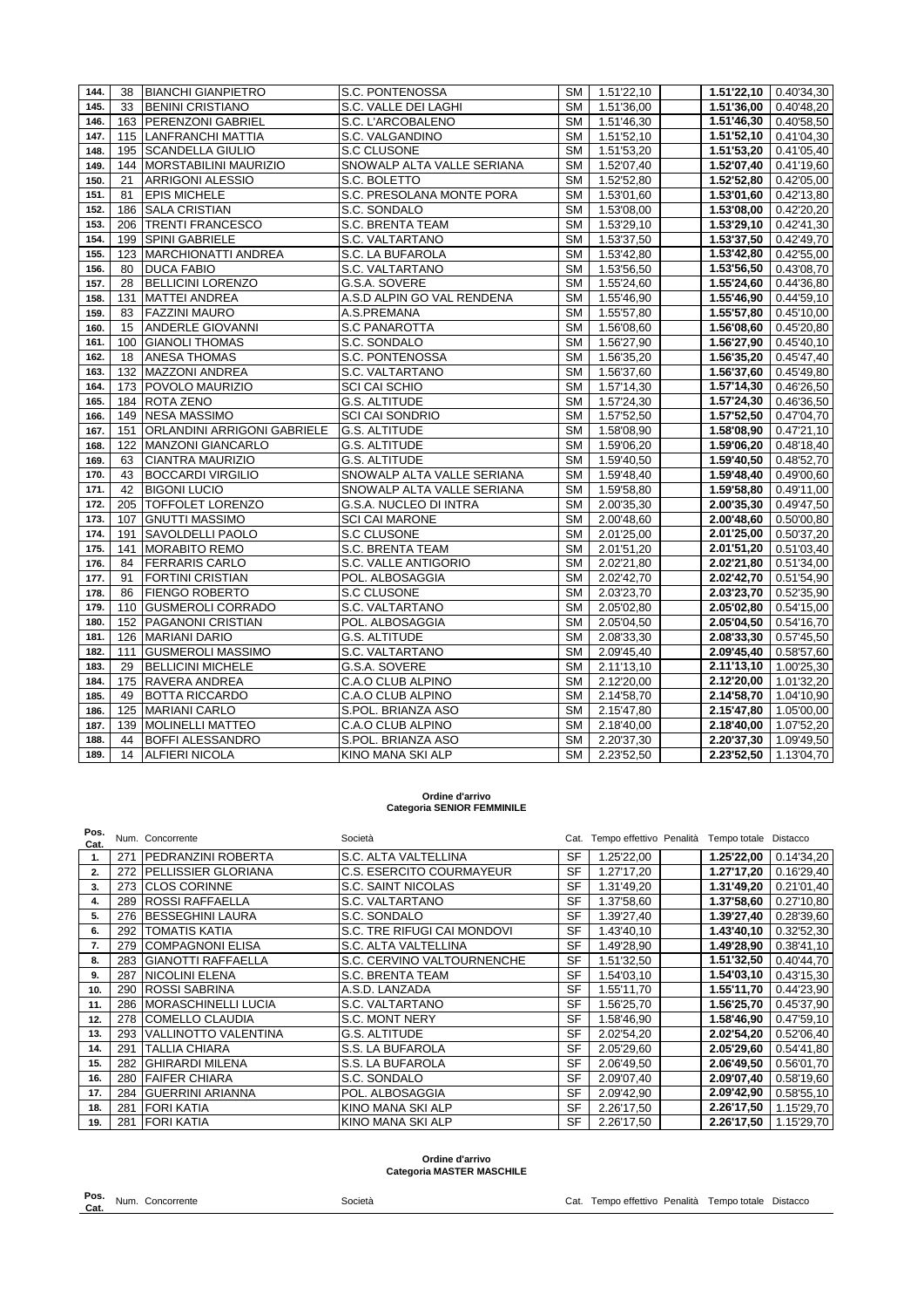| 144. | 38  | <b>BIANCHI GIANPIETRO</b>       | S.C. PONTENOSSA            |                        | SM   1.51'22,10 |                             | 1.51'22,10 0.40'34,30   |
|------|-----|---------------------------------|----------------------------|------------------------|-----------------|-----------------------------|-------------------------|
| 145. | 33  | <b>BENINI CRISTIANO</b>         | S.C. VALLE DEI LAGHI       | SM I                   | 1.51'36,00      | 1.51'36,00                  | 0.40'48,20              |
| 146. |     | 163 PERENZONI GABRIEL           | S.C. L'ARCOBALENO          | SM I                   | 1.51'46,30      | 1.51'46,30                  | $\boxed{0.40'58,50}$    |
| 147. |     | 115 LANFRANCHI MATTIA           | S.C. VALGANDINO            | SM                     | 1.51'52,10      | 1.51'52,10                  | 0.41'04,30              |
| 148. |     | 195 SCANDELLA GIULIO            | S.C CLUSONE                | SM                     | 1.51'53,20      | 1.51'53,20                  | 0.41'05,40              |
| 149. |     | 144   MORSTABILINI MAURIZIO     | SNOWALP ALTA VALLE SERIANA | SM                     | 1.52'07,40      | 1.52'07,40                  | 0.41'19,60              |
| 150. | 21  | <b>ARRIGONI ALESSIO</b>         | S.C. BOLETTO               | SM                     | 1.52'52,80      | $\overline{1.52^{6}}$ 52,80 | 0.42'05,00              |
| 151. | 81  | <b>EPIS MICHELE</b>             | S.C. PRESOLANA MONTE PORA  | SM                     | 1.53'01,60      | 1.53'01,60                  | 0.42'13,80              |
| 152. |     | 186 SALA CRISTIAN               | S.C. SONDALO               | SM                     | 1.53'08,00      | 1.53'08,00                  | 0.42'20,20              |
| 153  |     | 206 TRENTI FRANCESCO            | S.C. BRENTA TEAM           | SM                     | 1.53'29,10      | 1.53'29.10                  | 0.42'41,30              |
| 154. |     | 199 SPINI GABRIELE              | S.C. VALTARTANO            | SM                     | 1.53'37,50      | $1.53'37,50$ 0.42'49,70     |                         |
| 155. |     | 123 MARCHIONATTI ANDREA         | S.C. LA BUFAROLA           | SM                     | 1.53'42,80      |                             | $1.53'42,80$ 0.42'55,00 |
| 156. | 80  | <b>DUCA FABIO</b>               | S.C. VALTARTANO            | SM                     | 1.53'56,50      | 1.53'56,50                  | 0.43'08,70              |
| 157. | 28  | <b>BELLICINI LORENZO</b>        | G.S.A. SOVERE              | SM                     | 1.55'24,60      | 1.55'24,60                  | 0.44'36,80              |
| 158. | 131 | MATTEI ANDREA                   | A.S.D ALPIN GO VAL RENDENA | SM I                   | 1.55'46,90      | 1.55'46,90                  | 0.44'59,10              |
| 159. | 83  | <b>FAZZINI MAURO</b>            | A.S.PREMANA                | SM                     | 1.55'57,80      | 1.55'57,80                  | 0.45'10,00              |
| 160. | 15  | ANDERLE GIOVANNI                | S.C PANAROTTA              | <b>SM</b>              | 1.56'08,60      | 1.56'08,60                  | 0.45'20,80              |
| 161. | 100 | <b>GIANOLI THOMAS</b>           | S.C. SONDALO               | $\overline{\text{SM}}$ | 1.56'27,90      | 1.56'27,90                  | 0.45'40,10              |
| 162. | 18  | <b>ANESA THOMAS</b>             | S.C. PONTENOSSA            | SM                     | 1.56'35,20      | 1.56'35,20                  | 0.45'47,40              |
| 163. |     | 132 MAZZONI ANDREA              | S.C. VALTARTANO            | SM                     | 1.56'37,60      | 1.56'37,60                  | 0.45'49,80              |
| 164. |     | 173 POVOLO MAURIZIO             | <b>SCI CAI SCHIO</b>       | SM                     | 1.57'14,30      | 1.57'14,30                  | 0.46'26,50              |
| 165. |     | 184 ROTA ZENO                   | <b>G.S. ALTITUDE</b>       | SM                     | 1.57'24,30      | 1.57'24,30                  | 0.46'36,50              |
| 166. |     | 149 NESA MASSIMO                | <b>SCI CAI SONDRIO</b>     | SM                     | 1.57'52,50      | 1.57'52,50                  | 0.47'04,70              |
| 167. |     | 151 ORLANDINI ARRIGONI GABRIELE | <b>G.S. ALTITUDE</b>       | SM                     | 1.58'08,90      |                             | 1.58'08,90 0.47'21,10   |
| 168. |     | 122 MANZONI GIANCARLO           | <b>G.S. ALTITUDE</b>       | SM                     | 1.59'06,20      |                             | 1.59'06,20 0.48'18,40   |
| 169. | 63  | <b>CIANTRA MAURIZIO</b>         | <b>G.S. ALTITUDE</b>       | SM                     | 1.59'40,50      | 1.59'40,50                  | 0.48'52,70              |
| 170. | 43  | <b>BOCCARDI VIRGILIO</b>        | SNOWALP ALTA VALLE SERIANA | <b>SM</b>              | 1.59'48,40      | 1.59'48,40                  | 0.49'00,60              |
| 171. | 42  | <b>BIGONI LUCIO</b>             | SNOWALP ALTA VALLE SERIANA | SM                     | 1.59'58,80      | $1.59'58,80$ 0.49'11,00     |                         |
| 172. |     | 205 TOFFOLET LORENZO            | G.S.A. NUCLEO DI INTRA     | SM                     | 2.00'35,30      | 2.00'35,30                  | 0.49'47,50              |
| 173. |     | 107 GNUTTI MASSIMO              | <b>SCI CAI MARONE</b>      | <b>SM</b>              | 2.00'48,60      | $2.00'48,60$ 0.50'00,80     |                         |
| 174. | 191 | <b>SAVOLDELLI PAOLO</b>         | S.C CLUSONE                | SM                     | 2.01'25,00      | 2.01'25,00                  | 0.50'37,20              |
| 175. | 141 | <b>MORABITO REMO</b>            | S.C. BRENTA TEAM           | SM                     | 2.01'51,20      | $2.01'51,20$ 0.51'03,40     |                         |
| 176. | 84  | <b>FERRARIS CARLO</b>           | S.C. VALLE ANTIGORIO       | SM                     | 2.02'21,80      | $2.02'21,80$ 0.51'34,00     |                         |
| 177. | 91  | <b>FORTINI CRISTIAN</b>         | POL. ALBOSAGGIA            | <b>SM</b>              | 2.02'42,70      | 2.02'42,70                  | 0.51'54,90              |
| 178. | 86  | <b>FIENGO ROBERTO</b>           | S.C CLUSONE                | <b>SM</b>              | 2.03'23,70      | 2.03'23,70                  | 0.52'35,90              |
| 179. |     | 110 GUSMEROLI CORRADO           | S.C. VALTARTANO            | SM                     | 2.05'02,80      | $2.05'02,80$ 0.54'15,00     |                         |
| 180. |     | 152 PAGANONI CRISTIAN           | POL. ALBOSAGGIA            | SM                     | 2.05'04,50      | 2.05'04,50                  | 0.54'16,70              |
| 181. |     | 126 MARIANI DARIO               | <b>G.S. ALTITUDE</b>       | <b>SM</b>              | 2.08'33,30      | 2.08'33,30                  | 0.57'45,50              |
| 182. | 111 | <b>GUSMEROLI MASSIMO</b>        | S.C. VALTARTANO            | SM                     | 2.09'45,40      | 2.09'45,40                  | 0.58'57,60              |
| 183. | 29  | <b>BELLICINI MICHELE</b>        | G.S.A. SOVERE              | <b>SM</b>              | 2.11'13,10      | $2.11'13,10$ 1.00'25,30     |                         |
| 184. |     | 175 RAVERA ANDREA               | C.A.O CLUB ALPINO          | SM                     | 2.12'20,00      | 2.12'20,00 1.01'32,20       |                         |
| 185. | 49  | <b>BOTTA RICCARDO</b>           | C.A.O CLUB ALPINO          | SM                     | 2.14'58,70      |                             | 2.14'58,70 1.04'10,90   |
| 186. |     | 125 MARIANI CARLO               | S.POL. BRIANZA ASO         | <b>SM</b>              | 2.15'47,80      | $2.15'47,80$ 1.05'00,00     |                         |
| 187. | 139 | MOLINELLI MATTEO                | C.A.O CLUB ALPINO          | SM                     | 2.18'40,00      | $2.18'40,00$ 1.07'52,20     |                         |
| 188. | 44  | <b>BOFFI ALESSANDRO</b>         | S.POL. BRIANZA ASO         | SM                     | 2.20'37,30      |                             | 2.20'37,30 1.09'49,50   |
| 189. | 14  | <b>ALFIERI NICOLA</b>           | <b>KINO MANA SKI ALP</b>   |                        | SM 2.23'52,50   |                             | 2.23'52,50 1.13'04,70   |

#### **Ordine d'arrivo Categoria SENIOR FEMMINILE**

| Pos.<br>Cat. |     | Num. Concorrente            | Società                     |           | Cat. Tempo effettivo Penalità Tempo totale Distacco |            |            |
|--------------|-----|-----------------------------|-----------------------------|-----------|-----------------------------------------------------|------------|------------|
| 1.           | 271 | <b>IPEDRANZINI ROBERTA</b>  | S.C. ALTA VALTELLINA        | <b>SF</b> | 1.25'22,00                                          | 1.25'22,00 | 0.14'34,20 |
| 2.           | 272 | <b>IPELLISSIER GLORIANA</b> | C.S. ESERCITO COURMAYEUR    | <b>SF</b> | 1.27'17,20                                          | 1.27'17,20 | 0.16'29,40 |
| 3.           | 273 | <b>CLOS CORINNE</b>         | S.C. SAINT NICOLAS          | <b>SF</b> | 1.31'49,20                                          | 1.31'49,20 | 0.21'01,40 |
| 4.           | 289 | <b>ROSSI RAFFAELLA</b>      | S.C. VALTARTANO             | <b>SF</b> | 1.37'58,60                                          | 1.37'58,60 | 0.27'10,80 |
| 5.           | 276 | <b>BESSEGHINI LAURA</b>     | S.C. SONDALO                | <b>SF</b> | 1.39'27,40                                          | 1.39'27,40 | 0.28'39,60 |
| 6.           | 292 | <b>TOMATIS KATIA</b>        | S.C. TRE RIFUGI CAI MONDOVI | <b>SF</b> | 1.43'40,10                                          | 1.43'40,10 | 0.32'52,30 |
| 7.           | 279 | <b>COMPAGNONI ELISA</b>     | S.C. ALTA VALTELLINA        | <b>SF</b> | 1.49'28,90                                          | 1.49'28,90 | 0.38'41,10 |
| 8.           | 283 | <b>GIANOTTI RAFFAELLA</b>   | S.C. CERVINO VALTOURNENCHE  | SF        | 1.51'32,50                                          | 1.51'32,50 | 0.40'44,70 |
| 9.           | 287 | <b>NICOLINI ELENA</b>       | S.C. BRENTA TEAM            | <b>SF</b> | 1.54'03,10                                          | 1.54'03,10 | 0.43'15,30 |
| 10.          | 290 | <b>ROSSI SABRINA</b>        | A.S.D. LANZADA              | <b>SF</b> | 1.55'11,70                                          | 1.55'11,70 | 0.44'23,90 |
| 11.          | 286 | <b>MORASCHINELLI LUCIA</b>  | S.C. VALTARTANO             | <b>SF</b> | 1.56'25,70                                          | 1.56'25,70 | 0.45'37,90 |
| 12.          |     | 278 COMELLO CLAUDIA         | S.C. MONT NERY              | <b>SF</b> | 1.58'46,90                                          | 1.58'46,90 | 0.47'59,10 |
| 13.          | 293 | <b>VALLINOTTO VALENTINA</b> | <b>G.S. ALTITUDE</b>        | <b>SF</b> | 2.02'54,20                                          | 2.02'54,20 | 0.52'06,40 |
| 14.          | 291 | <b>TALLIA CHIARA</b>        | S.S. LA BUFAROLA            | <b>SF</b> | 2.05'29,60                                          | 2.05'29,60 | 0.54'41,80 |
| 15.          | 282 | <b>GHIRARDI MILENA</b>      | S.S. LA BUFAROLA            | <b>SF</b> | 2.06'49,50                                          | 2.06'49,50 | 0.56'01,70 |
| 16.          | 280 | <b>FAIFER CHIARA</b>        | S.C. SONDALO                | <b>SF</b> | 2.09'07,40                                          | 2.09'07,40 | 0.58'19,60 |
| 17.          | 284 | <b>GUERRINI ARIANNA</b>     | POL. ALBOSAGGIA             | <b>SF</b> | 2.09'42,90                                          | 2.09'42,90 | 0.58'55,10 |
| 18.          | 281 | <b>FORI KATIA</b>           | KINO MANA SKI ALP           | <b>SF</b> | 2.26'17,50                                          | 2.26'17,50 | 1.15'29,70 |
| 19.          |     | 281 FORI KATIA              | <b>KINO MANA SKI ALP</b>    | <b>SF</b> | 2.26'17,50                                          | 2.26'17.50 | 1.15'29.70 |

# **Ordine d'arrivo Categoria MASTER MASCHILE**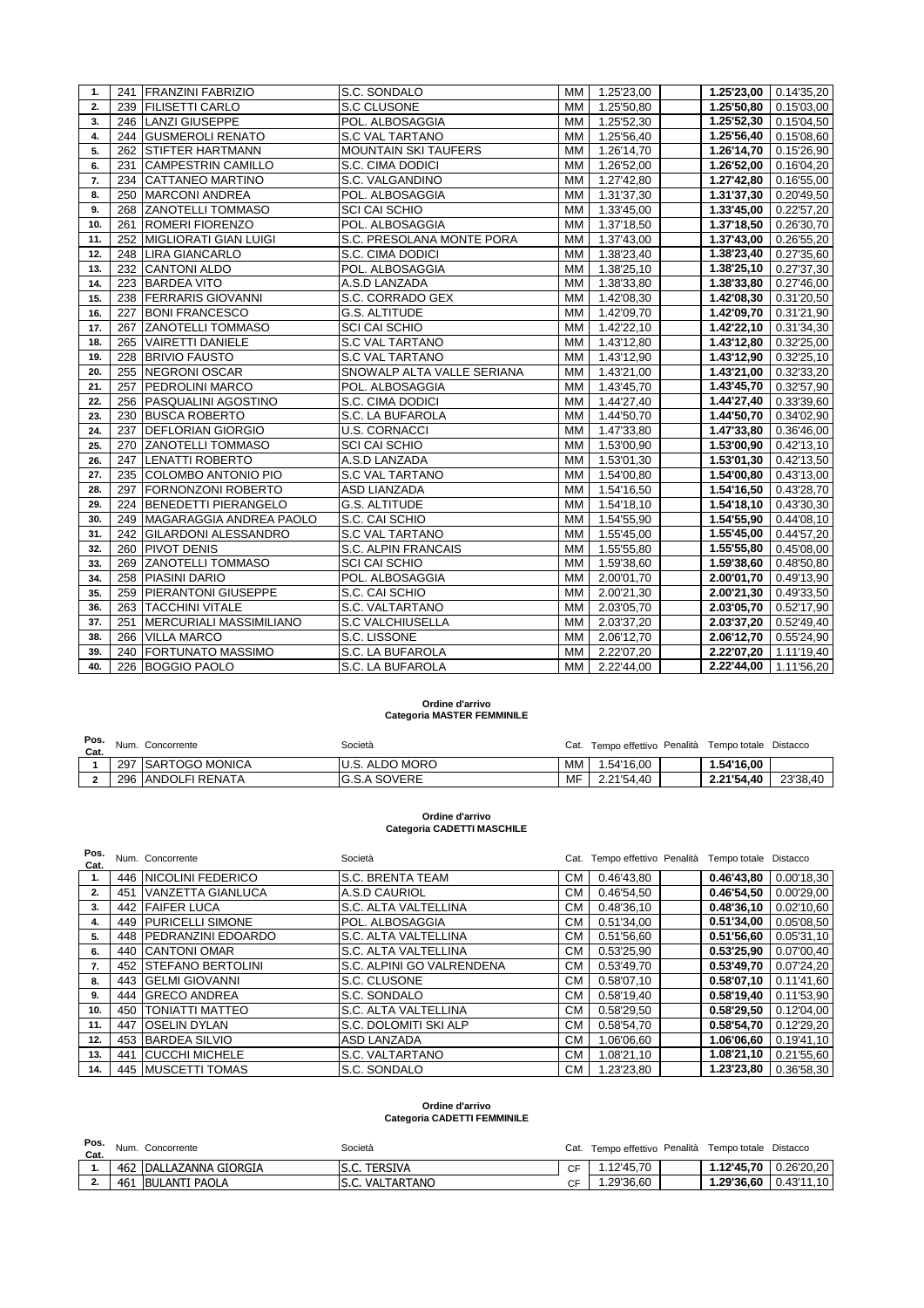| 1.  |     | 241 FRANZINI FABRIZIO          | S.C. SONDALO                | <b>MM</b> | 1.25'23,00               | $1.25'23,00$ 0.14'35,20  |            |
|-----|-----|--------------------------------|-----------------------------|-----------|--------------------------|--------------------------|------------|
| 2.  | 239 | <b>FILISETTI CARLO</b>         | S.C CLUSONE                 | MM I      | 1.25'50,80               | 1.2550,80                | 0.15'03,00 |
| 3.  |     | 246 LANZI GIUSEPPE             | POL. ALBOSAGGIA             | <b>MM</b> | 1.25'52,30               | 1.25'52,30 0.15'04,50    |            |
| 4.  |     | 244 GUSMEROLI RENATO           | <b>S.C VAL TARTANO</b>      | МM        | 1.25'56,40               | 1.25'56,40               | 0.15'08,60 |
| 5.  | 262 | <b>STIFTER HARTMANN</b>        | <b>MOUNTAIN SKI TAUFERS</b> | MM.       | $\overline{1}$ .26'14,70 | 1.26'14,70               | 0.15'26,90 |
| 6.  | 231 | <b>CAMPESTRIN CAMILLO</b>      | S.C. CIMA DODICI            | <b>MM</b> | 1.26'52,00               | 1.26'52,00               | 0.16'04,20 |
| 7.  | 234 | <b>CATTANEO MARTINO</b>        | S.C. VALGANDINO             | MМ        | 1.27'42,80               | 1.27'42,80               | 0.16'55,00 |
| 8.  | 250 | <b>MARCONI ANDREA</b>          | POL. ALBOSAGGIA             | <b>MM</b> | 1.31'37,30               | 1.31'37,30               | 0.20'49,50 |
| 9.  |     | 268 ZANOTELLI TOMMASO          | SCI CAI SCHIO               | MМ        | 1.33'45,00               | 1.33'45,00               | 0.22'57,20 |
| 10. |     | 261 ROMERI FIORENZO            | POL. ALBOSAGGIA             | МM        | 1.37'18,50               | 1.37'18,50               | 0.26'30,70 |
| 11. | 252 | <b>MIGLIORATI GIAN LUIGI</b>   | S.C. PRESOLANA MONTE PORA   | <b>MM</b> | 1.37'43,00               | $\overline{1.37'}$ 43,00 | 0.26'55,20 |
| 12. |     | 248 LIRA GIANCARLO             | S.C. CIMA DODICI            | MM.       | 1.38'23,40               | 1.38'23,40               | 0.27'35,60 |
| 13. |     | 232 CANTONI ALDO               | POL. ALBOSAGGIA             | <b>MM</b> | 1.38'25,10               | 1.38'25,10               | 0.27'37,30 |
| 14. | 223 | <b>BARDEA VITO</b>             | A.S.D LANZADA               | MМ        | 1.38'33,80               | 1.38'33,80               | 0.27'46.00 |
| 15. | 238 | <b>FERRARIS GIOVANNI</b>       | S.C. CORRADO GEX            | <b>MM</b> | 1.42'08,30               | 1.42'08,30               | 0.31'20,50 |
| 16. | 227 | <b>BONI FRANCESCO</b>          | G.S. ALTITUDE               | MM I      | 1.42'09,70               | 1.42'09,70               | 0.31'21,90 |
| 17. |     | 267 ZANOTELLI TOMMASO          | <b>SCI CAI SCHIO</b>        | МM        | 1.42'22,10               | 1.42'22,10               | 0.31'34,30 |
| 18. | 265 | <b>VAIRETTI DANIELE</b>        | <b>S.C VAL TARTANO</b>      | МM        | $\overline{1.43}$ '12,80 | 1.43'12,80               | 0.32'25,00 |
| 19. | 228 | <b>BRIVIO FAUSTO</b>           | <b>S.C VAL TARTANO</b>      | <b>MM</b> | 1.43'12,90               | 1.43'12,90               | 0.32'25,10 |
| 20. | 255 | <b>NEGRONI OSCAR</b>           | SNOWALP ALTA VALLE SERIANA  | <b>MM</b> | 1.43'21,00               | 1.43'21,00               | 0.32'33,20 |
| 21. | 257 | <b>PEDROLINI MARCO</b>         | POL. ALBOSAGGIA             | MМ        | 1.43'45,70               | 1.43'45,70               | 0.32'57,90 |
| 22. | 256 | <b>PASQUALINI AGOSTINO</b>     | S.C. CIMA DODICI            | <b>MM</b> | 1.44'27,40               | 1.44'27,40               | 0.33'39,60 |
| 23. | 230 | <b>BUSCA ROBERTO</b>           | S.C. LA BUFAROLA            | MМ        | 1.44'50,70               | 1.44'50,70               | 0.34'02,90 |
| 24. | 237 | <b>DEFLORIAN GIORGIO</b>       | <b>U.S. CORNACCI</b>        | МM        | 1.47'33,80               | 1.47'33,80               | 0.36'46,00 |
| 25. | 270 | <b>ZANOTELLI TOMMASO</b>       | SCI CAI SCHIO               | <b>MM</b> | 1.53'00,90               | $1.53'00,90$ 0.42'13,10  |            |
| 26. |     | 247 LENATTI ROBERTO            | A.S.D LANZADA               | <b>MM</b> | 1.53'01,30               | 1.53'01,30               | 0.42'13,50 |
| 27. |     | 235 COLOMBO ANTONIO PIO        | <b>S.C VAL TARTANO</b>      | MM        | 1.54'00,80               | 1.54'00,80               | 0.43'13,00 |
| 28. | 297 | <b>FORNONZONI ROBERTO</b>      | <b>ASD LIANZADA</b>         | MМ        | 1.54'16,50               | 1.54'16,50               | 0.43'28,70 |
| 29. |     | 224 BENEDETTI PIERANGELO       | G.S. ALTITUDE               | <b>MM</b> | 1.54'18,10               | 1.54'18,10               | 0.43'30,30 |
| 30. | 249 | MAGARAGGIA ANDREA PAOLO        | S.C. CAI SCHIO              | МM        | 1.54'55,90               | 1.54'55,90               | 0.44'08,10 |
| 31. |     | 242 GILARDONI ALESSANDRO       | <b>S.C VAL TARTANO</b>      | МM        | $\overline{1.55}$ '45,00 | $\overline{1.55'}$ 45,00 | 0.44'57,20 |
| 32. | 260 | <b>PIVOT DENIS</b>             | S.C. ALPIN FRANCAIS         | <b>MM</b> | 1.55'55,80               | 1.55'55,80               | 0.45'08,00 |
| 33. | 269 | <b>ZANOTELLI TOMMASO</b>       | <b>SCI CAI SCHIO</b>        | MM        | 1.59'38,60               | 1.59'38,60               | 0.48'50,80 |
| 34. | 258 | PIASINI DARIO                  | POL. ALBOSAGGIA             | <b>MM</b> | 2.00'01,70               | 2.00'01,70               | 0.49'13,90 |
| 35. | 259 | <b>PIERANTONI GIUSEPPE</b>     | S.C. CAI SCHIO              | <b>MM</b> | 2.00'21,30               | 2.00'21,30               | 0.49'33,50 |
| 36. | 263 | <b>TACCHINI VITALE</b>         | S.C. VALTARTANO             | <b>MM</b> | 2.03'05,70               | 2.03'05,70               | 0.52'17,90 |
| 37. | 251 | <b>MERCURIALI MASSIMILIANO</b> | <b>S.C VALCHIUSELLA</b>     | MМ        | 2.03'37,20               | 2.03'37,20               | 0.52'49,40 |
| 38. | 266 | <b>VILLA MARCO</b>             | S.C. LISSONE                | МM        | 2.06'12,70               | 2.06'12,70               | 0.55'24,90 |
| 39. | 240 | <b>FORTUNATO MASSIMO</b>       | S.C. LA BUFAROLA            | MМ        | 2.22'07,20               | 2.22'07,20   1.11'19,40  |            |
| 40. |     | 226 BOGGIO PAOLO               | S.C. LA BUFAROLA            | MM        | 2.22'44,00               | 2.22'44,00 1.11'56,20    |            |

### **Ordine d'arrivo Categoria MASTER FEMMINILE**

| Cat. | Pos. Num. Concorrente | Società                |    | Cat. Tempo effettivo Penalità Tempo totale Distacco |            |          |
|------|-----------------------|------------------------|----|-----------------------------------------------------|------------|----------|
|      | 297 ISARTOGO MONICA   | <b>IU.S. ALDO MORO</b> | МM | 1.54'16.00                                          | 1.54'16.00 |          |
|      | 296 ANDOLFI RENATA    | <b>G.S.A SOVERE</b>    | MF | 2.21'54.40                                          | 2.21'54.40 | 23'38.40 |

# **Ordine d'arrivo Categoria CADETTI MASCHILE**

| Pos.<br>Cat. |     | Num. Concorrente         | Società                   |           | Cat. Tempo effettivo Penalità Tempo totale Distacco |            |            |
|--------------|-----|--------------------------|---------------------------|-----------|-----------------------------------------------------|------------|------------|
| 1.           |     | 446 NICOLINI FEDERICO    | <b>S.C. BRENTA TEAM</b>   | CМ        | 0.46'43.80                                          | 0.46'43.80 | 0.00'18,30 |
| 2.           | 451 | <b>VANZETTA GIANLUCA</b> | A.S.D CAURIOL             | CМ        | 0.46'54,50                                          | 0.46'54,50 | 0.00'29,00 |
| 3.           | 442 | <b>FAIFER LUCA</b>       | S.C. ALTA VALTELLINA      | <b>CM</b> | 0.48'36,10                                          | 0.48'36.10 | 0.02'10,60 |
| 4.           | 449 | <b>PURICELLI SIMONE</b>  | POL. ALBOSAGGIA           | <b>CM</b> | 0.51'34,00                                          | 0.51'34,00 | 0.05'08,50 |
| 5.           |     | 448 PEDRANZINI EDOARDO   | S.C. ALTA VALTELLINA      | <b>CM</b> | 0.51'56.60                                          | 0.51'56,60 | 0.05'31.10 |
| 6.           | 440 | <b>CANTONI OMAR</b>      | S.C. ALTA VALTELLINA      | <b>CM</b> | 0.53'25,90                                          | 0.53'25,90 | 0.07'00,40 |
| 7.           | 452 | <b>STEFANO BERTOLINI</b> | S.C. ALPINI GO VALRENDENA | <b>CM</b> | 0.53'49,70                                          | 0.53'49.70 | 0.07'24,20 |
| 8.           |     | 443 GELMI GIOVANNI       | S.C. CLUSONE              | <b>CM</b> | 0.58'07,10                                          | 0.58'07,10 | 0.11'41,60 |
| 9.           | 444 | <b>GRECO ANDREA</b>      | S.C. SONDALO              | <b>CM</b> | 0.58'19.40                                          | 0.58'19,40 | 0.11'53,90 |
| 10.          | 450 | <b>TONIATTI MATTEO</b>   | S.C. ALTA VALTELLINA      | <b>CM</b> | 0.58'29,50                                          | 0.58'29,50 | 0.12'04,00 |
| 11.          | 447 | <b>OSELIN DYLAN</b>      | S.C. DOLOMITI SKI ALP     | <b>CM</b> | 0.58'54,70                                          | 0.58'54,70 | 0.12'29,20 |
| 12.          | 453 | <b>BARDEA SILVIO</b>     | <b>ASD LANZADA</b>        | <b>CM</b> | 1.06'06.60                                          | 1.06'06,60 | 0.19'41.10 |
| 13.          | 441 | <b>CUCCHI MICHELE</b>    | S.C. VALTARTANO           | <b>CM</b> | 1.08'21.10                                          | 1.08'21,10 | 0.21'55,60 |
| 14.          |     | 445 MUSCETTI TOMAS       | S.C. SONDALO              | <b>CM</b> | 1.23'23,80                                          | 1.23'23.80 | 0.36'58.30 |

#### **Ordine d'arrivo Categoria CADETTI FEMMINILE**

| Pos.     | Num. | Concorrente            | Società            | Cat.          | Tempo effettivo Penalità | Tempo totale | Distacco       |
|----------|------|------------------------|--------------------|---------------|--------------------------|--------------|----------------|
| Cat.     |      |                        |                    |               |                          |              |                |
|          |      | 462 DALLAZANNA GIORGIA | <b>TERSIVA</b>     | $\sim$ $\sim$ | 12'45.70                 | 1.2'45.70.   | 0.2620.20      |
| <b>.</b> | 461  | <b>BULANTI PAOLA</b>   | VALTARTANO<br>S.C. |               | 1.29'36.60               | 1.29'36.60   | l 0.43'11.10 l |